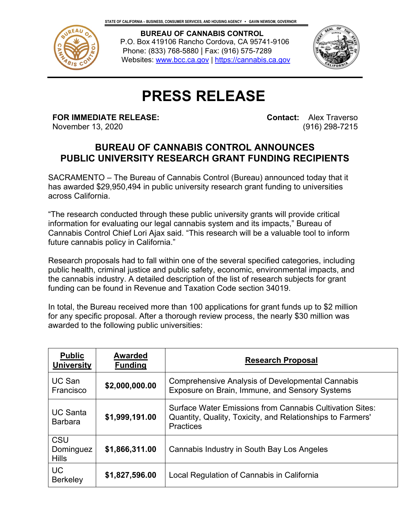

 **BUREAU OF CANNABIS CONTROL** P.O. Box 419106 Rancho Cordova, CA 95741-9106 Phone: (833) 768-5880 | Fax: (916) 575-7289 Websites: [www.bcc.ca.gov](http://www.bcc.ca.gov/) | [https://cannabis.ca.gov](https://cannabis.ca.gov/) 



## **PRESS RELEASE**

**FOR IMMEDIATE RELEASE:**

November 13, 2020

**Contact:** Alex Traverso (916) 298-7215

## **BUREAU OF CANNABIS CONTROL ANNOUNCES PUBLIC UNIVERSITY RESEARCH GRANT FUNDING RECIPIENTS**

SACRAMENTO – The Bureau of Cannabis Control (Bureau) announced today that it has awarded \$29,950,494 in public university research grant funding to universities across California.

"The research conducted through these public university grants will provide critical information for evaluating our legal cannabis system and its impacts," Bureau of Cannabis Control Chief Lori Ajax said. "This research will be a valuable tool to inform future cannabis policy in California."

Research proposals had to fall within one of the several specified categories, including public health, criminal justice and public safety, economic, environmental impacts, and the cannabis industry. A detailed description of the list of research subjects for grant funding can be found in Revenue and Taxation Code section 34019.

In total, the Bureau received more than 100 applications for grant funds up to \$2 million for any specific proposal. After a thorough review process, the nearly \$30 million was awarded to the following public universities:

| <b>Public</b><br><b>University</b> | <b>Awarded</b><br><b>Funding</b> | <b>Research Proposal</b>                                                                                                                          |
|------------------------------------|----------------------------------|---------------------------------------------------------------------------------------------------------------------------------------------------|
| UC San<br>Francisco                | \$2,000,000.00                   | <b>Comprehensive Analysis of Developmental Cannabis</b><br>Exposure on Brain, Immune, and Sensory Systems                                         |
| <b>UC Santa</b><br><b>Barbara</b>  | \$1,999,191.00                   | <b>Surface Water Emissions from Cannabis Cultivation Sites:</b><br>Quantity, Quality, Toxicity, and Relationships to Farmers'<br><b>Practices</b> |
| CSU<br>Dominguez<br><b>Hills</b>   | \$1,866,311.00                   | Cannabis Industry in South Bay Los Angeles                                                                                                        |
| <b>UC</b><br><b>Berkeley</b>       | \$1,827,596.00                   | Local Regulation of Cannabis in California                                                                                                        |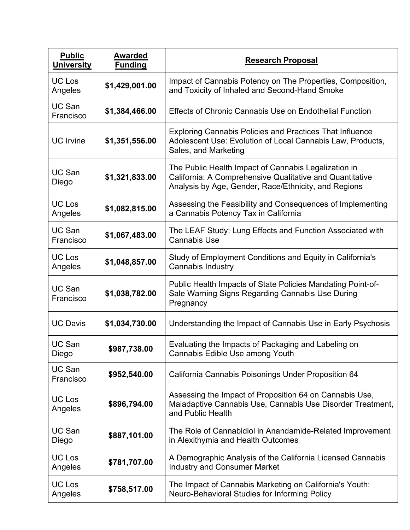| <b>Public</b><br><b>University</b> | <b>Awarded</b><br><b>Funding</b> | <b>Research Proposal</b>                                                                                                                                                 |
|------------------------------------|----------------------------------|--------------------------------------------------------------------------------------------------------------------------------------------------------------------------|
| <b>UC Los</b><br>Angeles           | \$1,429,001.00                   | Impact of Cannabis Potency on The Properties, Composition,<br>and Toxicity of Inhaled and Second-Hand Smoke                                                              |
| UC San<br>Francisco                | \$1,384,466.00                   | <b>Effects of Chronic Cannabis Use on Endothelial Function</b>                                                                                                           |
| <b>UC</b> Irvine                   | \$1,351,556.00                   | <b>Exploring Cannabis Policies and Practices That Influence</b><br>Adolescent Use: Evolution of Local Cannabis Law, Products,<br>Sales, and Marketing                    |
| UC San<br>Diego                    | \$1,321,833.00                   | The Public Health Impact of Cannabis Legalization in<br>California: A Comprehensive Qualitative and Quantitative<br>Analysis by Age, Gender, Race/Ethnicity, and Regions |
| UC Los<br>Angeles                  | \$1,082,815.00                   | Assessing the Feasibility and Consequences of Implementing<br>a Cannabis Potency Tax in California                                                                       |
| UC San<br>Francisco                | \$1,067,483.00                   | The LEAF Study: Lung Effects and Function Associated with<br><b>Cannabis Use</b>                                                                                         |
| <b>UC Los</b><br>Angeles           | \$1,048,857.00                   | Study of Employment Conditions and Equity in California's<br>Cannabis Industry                                                                                           |
| UC San<br>Francisco                | \$1,038,782.00                   | Public Health Impacts of State Policies Mandating Point-of-<br>Sale Warning Signs Regarding Cannabis Use During<br>Pregnancy                                             |
| <b>UC Davis</b>                    | \$1,034,730.00                   | Understanding the Impact of Cannabis Use in Early Psychosis                                                                                                              |
| <b>UC San</b><br>Diego             | \$987,738.00                     | Evaluating the Impacts of Packaging and Labeling on<br>Cannabis Edible Use among Youth                                                                                   |
| UC San<br>Francisco                | \$952,540.00                     | California Cannabis Poisonings Under Proposition 64                                                                                                                      |
| UC Los<br>Angeles                  | \$896,794.00                     | Assessing the Impact of Proposition 64 on Cannabis Use,<br>Maladaptive Cannabis Use, Cannabis Use Disorder Treatment,<br>and Public Health                               |
| UC San<br>Diego                    | \$887,101.00                     | The Role of Cannabidiol in Anandamide-Related Improvement<br>in Alexithymia and Health Outcomes                                                                          |
| UC Los<br>Angeles                  | \$781,707.00                     | A Demographic Analysis of the California Licensed Cannabis<br><b>Industry and Consumer Market</b>                                                                        |
| <b>UC Los</b><br>Angeles           | \$758,517.00                     | The Impact of Cannabis Marketing on California's Youth:<br>Neuro-Behavioral Studies for Informing Policy                                                                 |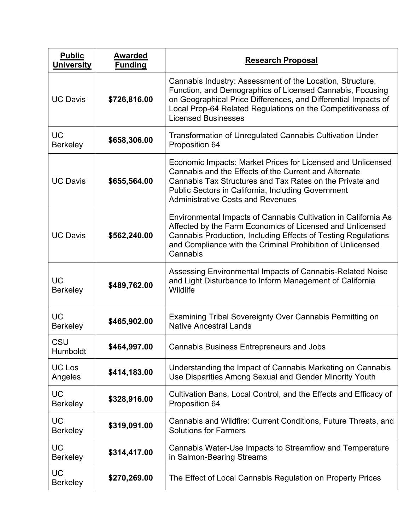| <b>Public</b><br><b>University</b> | <b>Awarded</b><br><b>Funding</b> | <b>Research Proposal</b>                                                                                                                                                                                                                                                              |
|------------------------------------|----------------------------------|---------------------------------------------------------------------------------------------------------------------------------------------------------------------------------------------------------------------------------------------------------------------------------------|
| <b>UC Davis</b>                    | \$726,816.00                     | Cannabis Industry: Assessment of the Location, Structure,<br>Function, and Demographics of Licensed Cannabis, Focusing<br>on Geographical Price Differences, and Differential Impacts of<br>Local Prop-64 Related Regulations on the Competitiveness of<br><b>Licensed Businesses</b> |
| <b>UC</b><br><b>Berkeley</b>       | \$658,306.00                     | <b>Transformation of Unregulated Cannabis Cultivation Under</b><br>Proposition 64                                                                                                                                                                                                     |
| <b>UC Davis</b>                    | \$655,564.00                     | Economic Impacts: Market Prices for Licensed and Unlicensed<br>Cannabis and the Effects of the Current and Alternate<br>Cannabis Tax Structures and Tax Rates on the Private and<br>Public Sectors in California, Including Government<br><b>Administrative Costs and Revenues</b>    |
| <b>UC Davis</b>                    | \$562,240.00                     | Environmental Impacts of Cannabis Cultivation in California As<br>Affected by the Farm Economics of Licensed and Unlicensed<br>Cannabis Production, Including Effects of Testing Regulations<br>and Compliance with the Criminal Prohibition of Unlicensed<br>Cannabis                |
| <b>UC</b><br><b>Berkeley</b>       | \$489,762.00                     | Assessing Environmental Impacts of Cannabis-Related Noise<br>and Light Disturbance to Inform Management of California<br>Wildlife                                                                                                                                                     |
| <b>UC</b><br>Berkeley              | \$465,902.00                     | Examining Tribal Sovereignty Over Cannabis Permitting on<br><b>Native Ancestral Lands</b>                                                                                                                                                                                             |
| CSU<br>Humboldt                    | \$464,997.00                     | <b>Cannabis Business Entrepreneurs and Jobs</b>                                                                                                                                                                                                                                       |
| UC Los<br>Angeles                  | \$414,183.00                     | Understanding the Impact of Cannabis Marketing on Cannabis<br>Use Disparities Among Sexual and Gender Minority Youth                                                                                                                                                                  |
| <b>UC</b><br><b>Berkeley</b>       | \$328,916.00                     | Cultivation Bans, Local Control, and the Effects and Efficacy of<br>Proposition 64                                                                                                                                                                                                    |
| <b>UC</b><br><b>Berkeley</b>       | \$319,091.00                     | Cannabis and Wildfire: Current Conditions, Future Threats, and<br><b>Solutions for Farmers</b>                                                                                                                                                                                        |
| <b>UC</b><br><b>Berkeley</b>       | \$314,417.00                     | Cannabis Water-Use Impacts to Streamflow and Temperature<br>in Salmon-Bearing Streams                                                                                                                                                                                                 |
| <b>UC</b><br><b>Berkeley</b>       | \$270,269.00                     | The Effect of Local Cannabis Regulation on Property Prices                                                                                                                                                                                                                            |